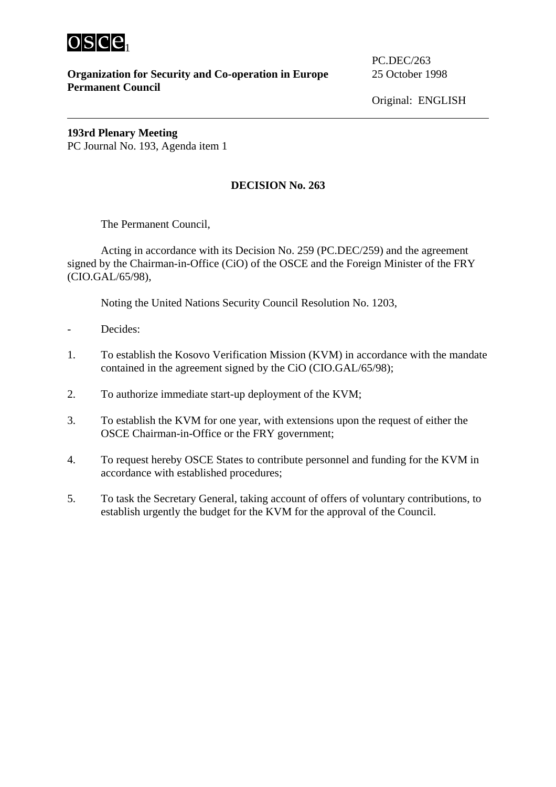

**Organization for Security and Co-operation in Europe** 25 October 1998 **Permanent Council**

PC.DEC/263

**193rd Plenary Meeting**  PC Journal No. 193, Agenda item 1

## **DECISION No. 263**

The Permanent Council,

Acting in accordance with its Decision No. 259 (PC.DEC/259) and the agreement signed by the Chairman-in-Office (CiO) of the OSCE and the Foreign Minister of the FRY (CIO.GAL/65/98),

Noting the United Nations Security Council Resolution No. 1203,

- Decides:
- 1. To establish the Kosovo Verification Mission (KVM) in accordance with the mandate contained in the agreement signed by the CiO (CIO.GAL/65/98);
- 2. To authorize immediate start-up deployment of the KVM;
- 3. To establish the KVM for one year, with extensions upon the request of either the OSCE Chairman-in-Office or the FRY government;
- 4. To request hereby OSCE States to contribute personnel and funding for the KVM in accordance with established procedures;
- 5. To task the Secretary General, taking account of offers of voluntary contributions, to establish urgently the budget for the KVM for the approval of the Council.